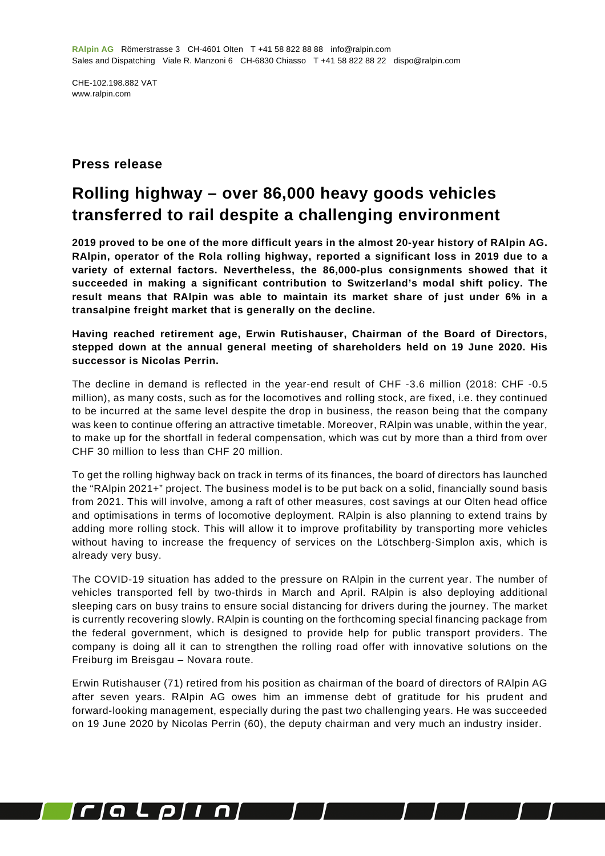CHE-102.198.882 VAT www.ralpin.com

## **Press release**

## **Rolling highway – over 86,000 heavy goods vehicles transferred to rail despite a challenging environment**

**2019 proved to be one of the more difficult years in the almost 20-year history of RAlpin AG. RAlpin, operator of the Rola rolling highway, reported a significant loss in 2019 due to a variety of external factors. Nevertheless, the 86,000-plus consignments showed that it succeeded in making a significant contribution to Switzerland's modal shift policy. The result means that RAlpin was able to maintain its market share of just under 6% in a transalpine freight market that is generally on the decline.**

**Having reached retirement age, Erwin Rutishauser, Chairman of the Board of Directors, stepped down at the annual general meeting of shareholders held on 19 June 2020. His successor is Nicolas Perrin.**

The decline in demand is reflected in the year-end result of CHF -3.6 million (2018: CHF -0.5 million), as many costs, such as for the locomotives and rolling stock, are fixed, i.e. they continued to be incurred at the same level despite the drop in business, the reason being that the company was keen to continue offering an attractive timetable. Moreover, RAlpin was unable, within the year, to make up for the shortfall in federal compensation, which was cut by more than a third from over CHF 30 million to less than CHF 20 million.

To get the rolling highway back on track in terms of its finances, the board of directors has launched the "RAlpin 2021+" project. The business model is to be put back on a solid, financially sound basis from 2021. This will involve, among a raft of other measures, cost savings at our Olten head office and optimisations in terms of locomotive deployment. RAlpin is also planning to extend trains by adding more rolling stock. This will allow it to improve profitability by transporting more vehicles without having to increase the frequency of services on the Lötschberg-Simplon axis, which is already very busy.

The COVID-19 situation has added to the pressure on RAlpin in the current year. The number of vehicles transported fell by two-thirds in March and April. RAlpin is also deploying additional sleeping cars on busy trains to ensure social distancing for drivers during the journey. The market is currently recovering slowly. RAlpin is counting on the forthcoming special financing package from the federal government, which is designed to provide help for public transport providers. The company is doing all it can to strengthen the rolling road offer with innovative solutions on the Freiburg im Breisgau – Novara route.

Erwin Rutishauser (71) retired from his position as chairman of the board of directors of RAlpin AG after seven years. RAlpin AG owes him an immense debt of gratitude for his prudent and forward-looking management, especially during the past two challenging years. He was succeeded on 19 June 2020 by Nicolas Perrin (60), the deputy chairman and very much an industry insider.

I

 $\sqrt{2}$